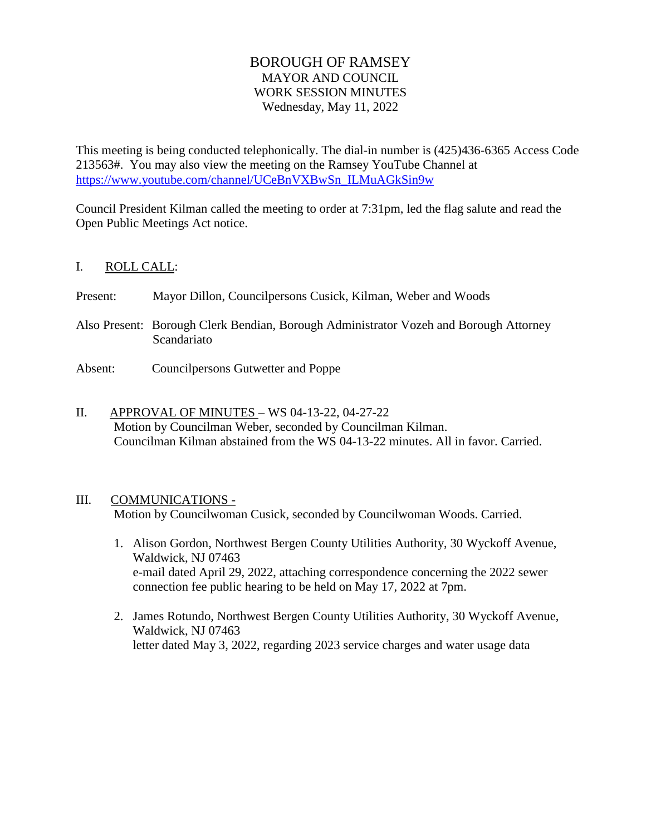# BOROUGH OF RAMSEY MAYOR AND COUNCIL WORK SESSION MINUTES Wednesday, May 11, 2022

This meeting is being conducted telephonically. The dial-in number is (425)436-6365 Access Code 213563#. You may also view the meeting on the Ramsey YouTube Channel at [https://www.youtube.com/channel/UCeBnVXBwSn\\_ILMuAGkSin9w](https://www.youtube.com/channel/UCeBnVXBwSn_ILMuAGkSin9w)

Council President Kilman called the meeting to order at 7:31pm, led the flag salute and read the Open Public Meetings Act notice.

# I. ROLL CALL:

Present: Mayor Dillon, Councilpersons Cusick, Kilman, Weber and Woods

- Also Present: Borough Clerk Bendian, Borough Administrator Vozeh and Borough Attorney Scandariato
- Absent: Councilpersons Gutwetter and Poppe
- II. APPROVAL OF MINUTES WS 04-13-22, 04-27-22 Motion by Councilman Weber, seconded by Councilman Kilman. Councilman Kilman abstained from the WS 04-13-22 minutes. All in favor. Carried.

# III. COMMUNICATIONS -

Motion by Councilwoman Cusick, seconded by Councilwoman Woods. Carried.

- 1. Alison Gordon, Northwest Bergen County Utilities Authority, 30 Wyckoff Avenue, Waldwick, NJ 07463 e-mail dated April 29, 2022, attaching correspondence concerning the 2022 sewer connection fee public hearing to be held on May 17, 2022 at 7pm.
- 2. James Rotundo, Northwest Bergen County Utilities Authority, 30 Wyckoff Avenue, Waldwick, NJ 07463 letter dated May 3, 2022, regarding 2023 service charges and water usage data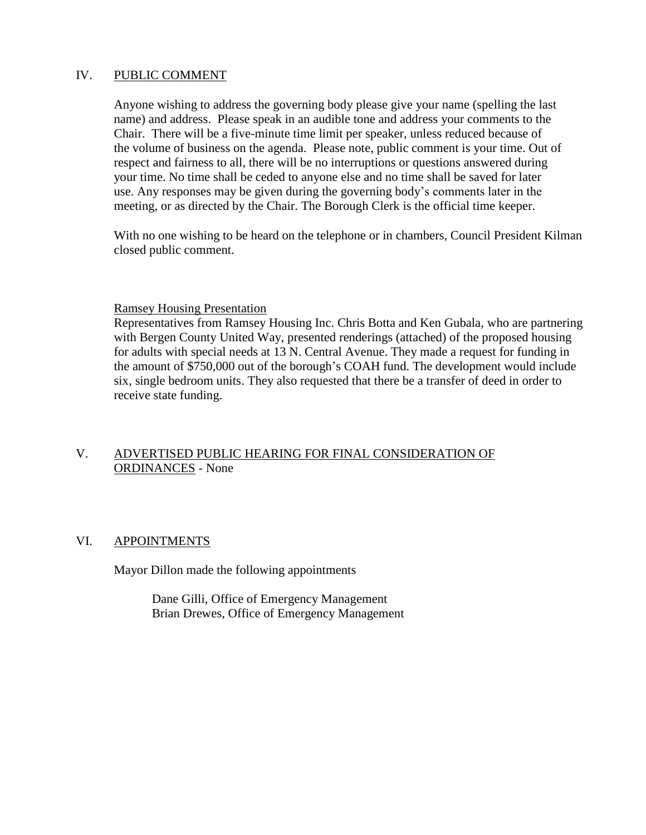### IV. PUBLIC COMMENT

Anyone wishing to address the governing body please give your name (spelling the last name) and address. Please speak in an audible tone and address your comments to the Chair. There will be a five-minute time limit per speaker, unless reduced because of the volume of business on the agenda. Please note, public comment is your time. Out of respect and fairness to all, there will be no interruptions or questions answered during your time. No time shall be ceded to anyone else and no time shall be saved for later use. Any responses may be given during the governing body's comments later in the meeting, or as directed by the Chair. The Borough Clerk is the official time keeper.

With no one wishing to be heard on the telephone or in chambers, Council President Kilman closed public comment.

### Ramsey Housing Presentation

Representatives from Ramsey Housing Inc. Chris Botta and Ken Gubala, who are partnering with Bergen County United Way, presented renderings (attached) of the proposed housing for adults with special needs at 13 N. Central Avenue. They made a request for funding in the amount of \$750,000 out of the borough's COAH fund. The development would include six, single bedroom units. They also requested that there be a transfer of deed in order to receive state funding.

# V. ADVERTISED PUBLIC HEARING FOR FINAL CONSIDERATION OF ORDINANCES - None

# VI. APPOINTMENTS

Mayor Dillon made the following appointments

Dane Gilli, Office of Emergency Management Brian Drewes, Office of Emergency Management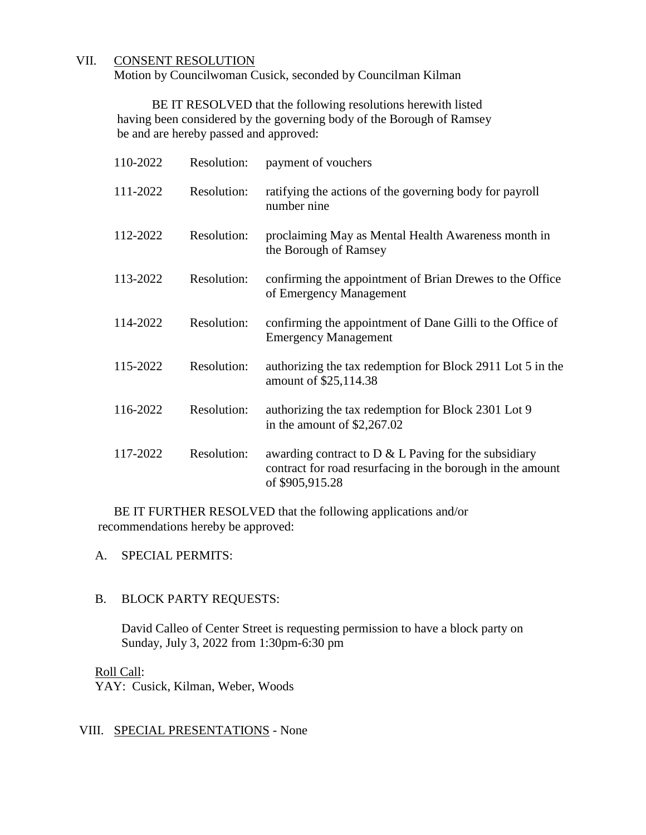# VII. CONSENT RESOLUTION

Motion by Councilwoman Cusick, seconded by Councilman Kilman

BE IT RESOLVED that the following resolutions herewith listed having been considered by the governing body of the Borough of Ramsey be and are hereby passed and approved:

| 110-2022 | Resolution: | payment of vouchers                                                                                                                      |
|----------|-------------|------------------------------------------------------------------------------------------------------------------------------------------|
| 111-2022 | Resolution: | ratifying the actions of the governing body for payroll<br>number nine                                                                   |
| 112-2022 | Resolution: | proclaiming May as Mental Health Awareness month in<br>the Borough of Ramsey                                                             |
| 113-2022 | Resolution: | confirming the appointment of Brian Drewes to the Office<br>of Emergency Management                                                      |
| 114-2022 | Resolution: | confirming the appointment of Dane Gilli to the Office of<br><b>Emergency Management</b>                                                 |
| 115-2022 | Resolution: | authorizing the tax redemption for Block 2911 Lot 5 in the<br>amount of \$25,114.38                                                      |
| 116-2022 | Resolution: | authorizing the tax redemption for Block 2301 Lot 9<br>in the amount of $$2,267.02$                                                      |
| 117-2022 | Resolution: | awarding contract to $D \& L$ Paving for the subsidiary<br>contract for road resurfacing in the borough in the amount<br>of \$905,915.28 |

BE IT FURTHER RESOLVED that the following applications and/or recommendations hereby be approved:

#### A. SPECIAL PERMITS:

### B. BLOCK PARTY REQUESTS:

David Calleo of Center Street is requesting permission to have a block party on Sunday, July 3, 2022 from 1:30pm-6:30 pm

### Roll Call:

YAY: Cusick, Kilman, Weber, Woods

#### VIII. SPECIAL PRESENTATIONS - None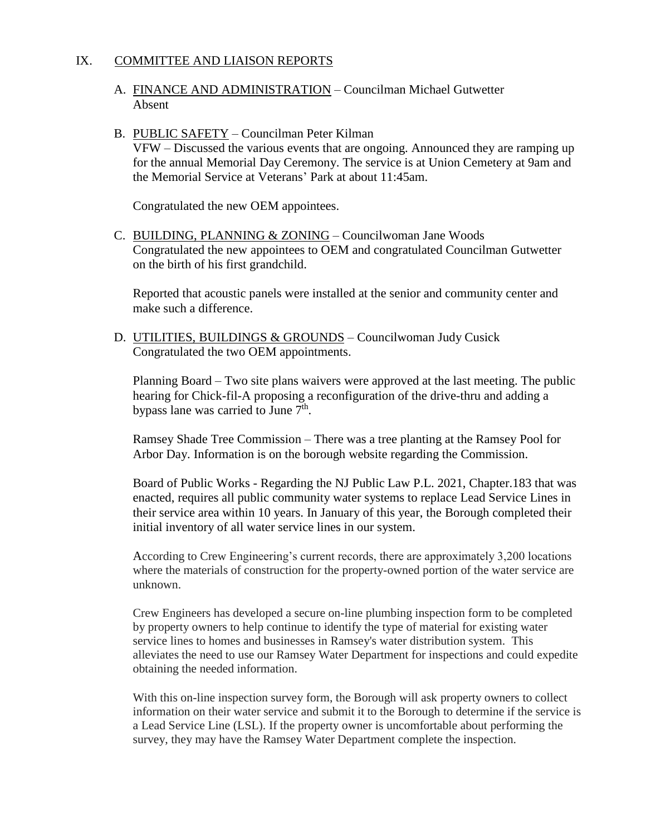## IX. COMMITTEE AND LIAISON REPORTS

A. FINANCE AND ADMINISTRATION – Councilman Michael Gutwetter Absent

#### B. PUBLIC SAFETY – Councilman Peter Kilman

VFW – Discussed the various events that are ongoing. Announced they are ramping up for the annual Memorial Day Ceremony. The service is at Union Cemetery at 9am and the Memorial Service at Veterans' Park at about 11:45am.

Congratulated the new OEM appointees.

C. BUILDING, PLANNING & ZONING – Councilwoman Jane Woods Congratulated the new appointees to OEM and congratulated Councilman Gutwetter on the birth of his first grandchild.

Reported that acoustic panels were installed at the senior and community center and make such a difference.

D. UTILITIES, BUILDINGS & GROUNDS – Councilwoman Judy Cusick Congratulated the two OEM appointments.

Planning Board – Two site plans waivers were approved at the last meeting. The public hearing for Chick-fil-A proposing a reconfiguration of the drive-thru and adding a bypass lane was carried to June  $7<sup>th</sup>$ .

Ramsey Shade Tree Commission – There was a tree planting at the Ramsey Pool for Arbor Day. Information is on the borough website regarding the Commission.

Board of Public Works - Regarding the NJ Public Law P.L. 2021, Chapter.183 that was enacted, requires all public community water systems to replace Lead Service Lines in their service area within 10 years. In January of this year, the Borough completed their initial inventory of all water service lines in our system.

According to Crew Engineering's current records, there are approximately 3,200 locations where the materials of construction for the property-owned portion of the water service are unknown.

Crew Engineers has developed a secure on-line plumbing inspection form to be completed by property owners to help continue to identify the type of material for existing water service lines to homes and businesses in Ramsey's water distribution system. This alleviates the need to use our Ramsey Water Department for inspections and could expedite obtaining the needed information.

With this on-line inspection survey form, the Borough will ask property owners to collect information on their water service and submit it to the Borough to determine if the service is a Lead Service Line (LSL). If the property owner is uncomfortable about performing the survey, they may have the Ramsey Water Department complete the inspection.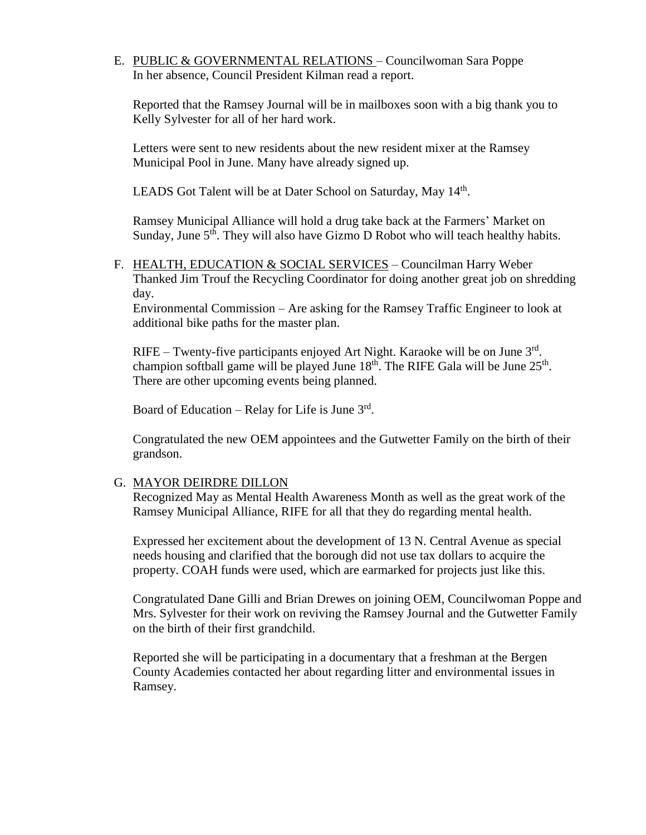# E. PUBLIC & GOVERNMENTAL RELATIONS – Councilwoman Sara Poppe In her absence, Council President Kilman read a report.

Reported that the Ramsey Journal will be in mailboxes soon with a big thank you to Kelly Sylvester for all of her hard work.

Letters were sent to new residents about the new resident mixer at the Ramsey Municipal Pool in June. Many have already signed up.

LEADS Got Talent will be at Dater School on Saturday, May 14<sup>th</sup>.

Ramsey Municipal Alliance will hold a drug take back at the Farmers' Market on Sunday, June 5<sup>th</sup>. They will also have Gizmo D Robot who will teach healthy habits.

F. HEALTH, EDUCATION & SOCIAL SERVICES - Councilman Harry Weber Thanked Jim Trouf the Recycling Coordinator for doing another great job on shredding day.

Environmental Commission – Are asking for the Ramsey Traffic Engineer to look at additional bike paths for the master plan.

RIFE – Twenty-five participants enjoyed Art Night. Karaoke will be on June  $3<sup>rd</sup>$ . champion softball game will be played June  $18<sup>th</sup>$ . The RIFE Gala will be June  $25<sup>th</sup>$ . There are other upcoming events being planned.

Board of Education – Relay for Life is June  $3<sup>rd</sup>$ .

Congratulated the new OEM appointees and the Gutwetter Family on the birth of their grandson.

### G. MAYOR DEIRDRE DILLON

Recognized May as Mental Health Awareness Month as well as the great work of the Ramsey Municipal Alliance, RIFE for all that they do regarding mental health.

Expressed her excitement about the development of 13 N. Central Avenue as special needs housing and clarified that the borough did not use tax dollars to acquire the property. COAH funds were used, which are earmarked for projects just like this.

Congratulated Dane Gilli and Brian Drewes on joining OEM, Councilwoman Poppe and Mrs. Sylvester for their work on reviving the Ramsey Journal and the Gutwetter Family on the birth of their first grandchild.

Reported she will be participating in a documentary that a freshman at the Bergen County Academies contacted her about regarding litter and environmental issues in Ramsey.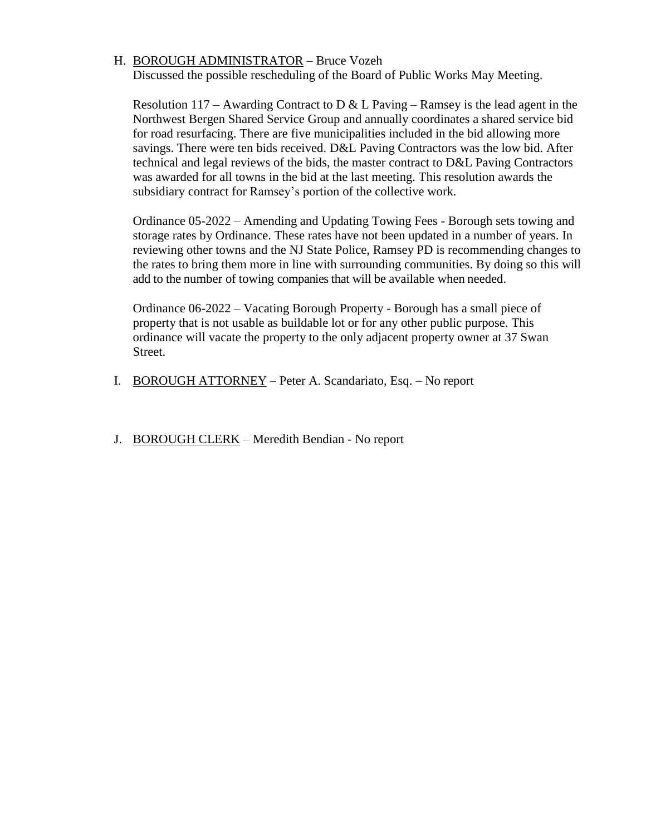# H. BOROUGH ADMINISTRATOR – Bruce Vozeh

Discussed the possible rescheduling of the Board of Public Works May Meeting.

Resolution 117 – Awarding Contract to D & L Paving – Ramsey is the lead agent in the Northwest Bergen Shared Service Group and annually coordinates a shared service bid for road resurfacing. There are five municipalities included in the bid allowing more savings. There were ten bids received. D&L Paving Contractors was the low bid. After technical and legal reviews of the bids, the master contract to D&L Paving Contractors was awarded for all towns in the bid at the last meeting. This resolution awards the subsidiary contract for Ramsey's portion of the collective work.

Ordinance 05-2022 – Amending and Updating Towing Fees - Borough sets towing and storage rates by Ordinance. These rates have not been updated in a number of years. In reviewing other towns and the NJ State Police, Ramsey PD is recommending changes to the rates to bring them more in line with surrounding communities. By doing so this will add to the number of towing companies that will be available when needed.

Ordinance 06-2022 – Vacating Borough Property - Borough has a small piece of property that is not usable as buildable lot or for any other public purpose. This ordinance will vacate the property to the only adjacent property owner at 37 Swan Street.

- I. BOROUGH ATTORNEY Peter A. Scandariato, Esq. No report
- J. BOROUGH CLERK Meredith Bendian No report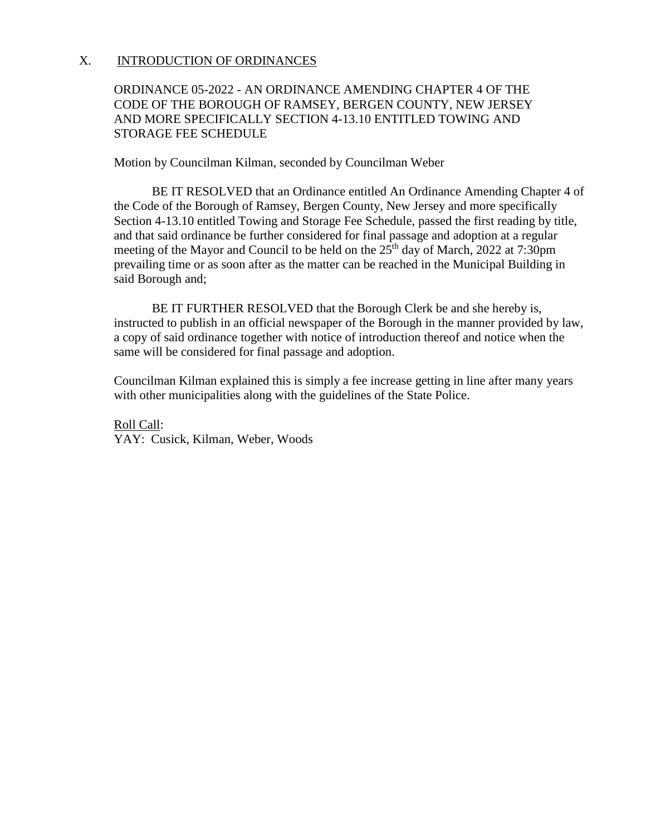## X. INTRODUCTION OF ORDINANCES

# ORDINANCE 05-2022 - AN ORDINANCE AMENDING CHAPTER 4 OF THE CODE OF THE BOROUGH OF RAMSEY, BERGEN COUNTY, NEW JERSEY AND MORE SPECIFICALLY SECTION 4-13.10 ENTITLED TOWING AND STORAGE FEE SCHEDULE

Motion by Councilman Kilman, seconded by Councilman Weber

BE IT RESOLVED that an Ordinance entitled An Ordinance Amending Chapter 4 of the Code of the Borough of Ramsey, Bergen County, New Jersey and more specifically Section 4-13.10 entitled Towing and Storage Fee Schedule, passed the first reading by title, and that said ordinance be further considered for final passage and adoption at a regular meeting of the Mayor and Council to be held on the 25<sup>th</sup> day of March, 2022 at 7:30pm prevailing time or as soon after as the matter can be reached in the Municipal Building in said Borough and;

BE IT FURTHER RESOLVED that the Borough Clerk be and she hereby is, instructed to publish in an official newspaper of the Borough in the manner provided by law, a copy of said ordinance together with notice of introduction thereof and notice when the same will be considered for final passage and adoption.

Councilman Kilman explained this is simply a fee increase getting in line after many years with other municipalities along with the guidelines of the State Police.

Roll Call: YAY: Cusick, Kilman, Weber, Woods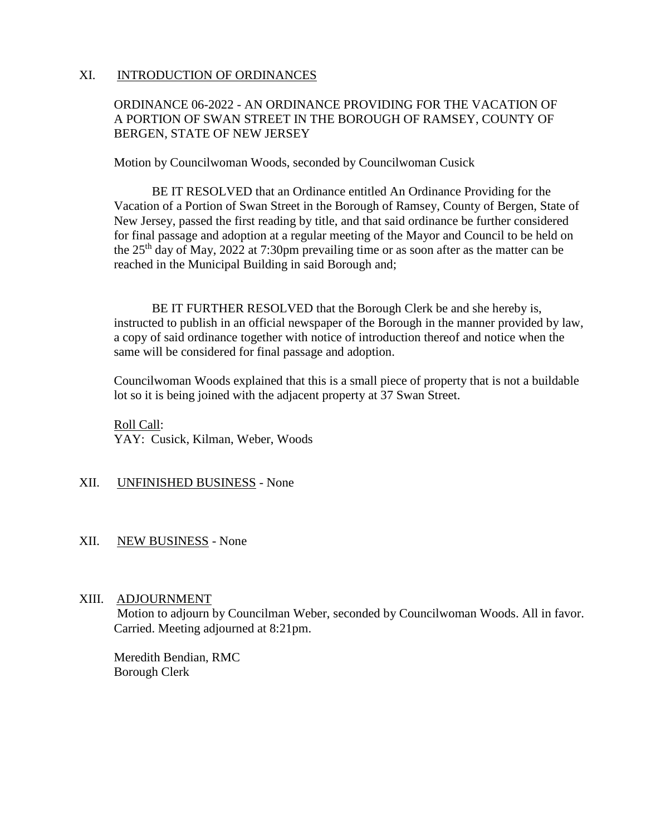### XI. INTRODUCTION OF ORDINANCES

# ORDINANCE 06-2022 - AN ORDINANCE PROVIDING FOR THE VACATION OF A PORTION OF SWAN STREET IN THE BOROUGH OF RAMSEY, COUNTY OF BERGEN, STATE OF NEW JERSEY

Motion by Councilwoman Woods, seconded by Councilwoman Cusick

BE IT RESOLVED that an Ordinance entitled An Ordinance Providing for the Vacation of a Portion of Swan Street in the Borough of Ramsey, County of Bergen, State of New Jersey, passed the first reading by title, and that said ordinance be further considered for final passage and adoption at a regular meeting of the Mayor and Council to be held on the  $25<sup>th</sup>$  day of May, 2022 at 7:30pm prevailing time or as soon after as the matter can be reached in the Municipal Building in said Borough and;

BE IT FURTHER RESOLVED that the Borough Clerk be and she hereby is, instructed to publish in an official newspaper of the Borough in the manner provided by law, a copy of said ordinance together with notice of introduction thereof and notice when the same will be considered for final passage and adoption.

Councilwoman Woods explained that this is a small piece of property that is not a buildable lot so it is being joined with the adjacent property at 37 Swan Street.

Roll Call: YAY: Cusick, Kilman, Weber, Woods

### XII. UNFINISHED BUSINESS - None

### XII. NEW BUSINESS - None

### XIII. ADJOURNMENT

 Motion to adjourn by Councilman Weber, seconded by Councilwoman Woods. All in favor. Carried. Meeting adjourned at 8:21pm.

Meredith Bendian, RMC Borough Clerk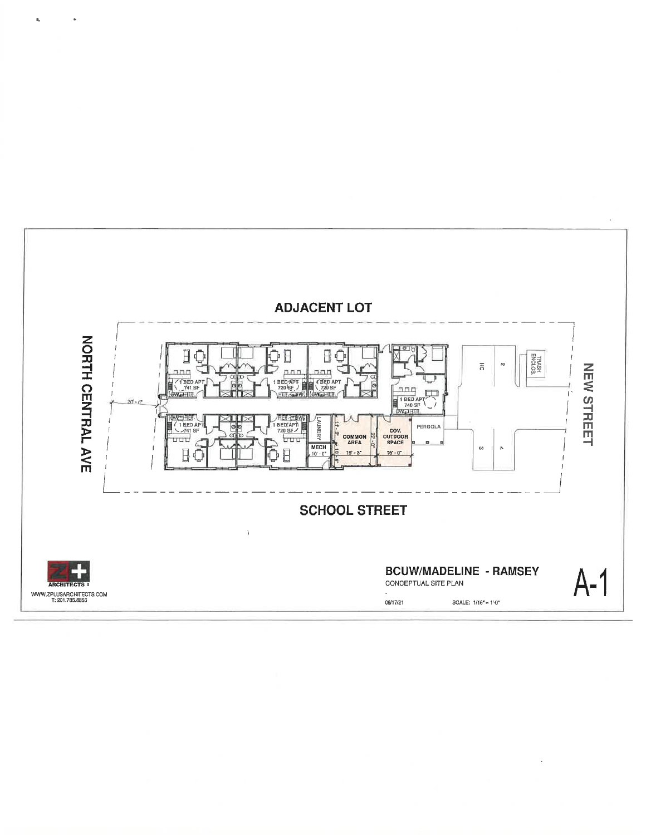

 $\ddot{\phantom{a}}$ 

 $\hat{\mathbf{p}}_a$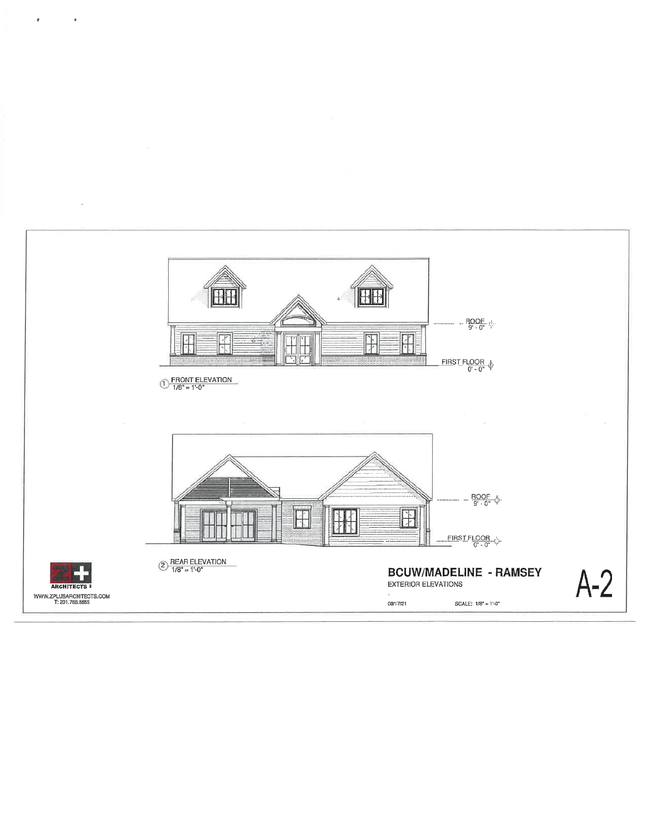

 $\bar{\pmb{r}}$ 

 $\bar{z}$ 

 $\bar{z}$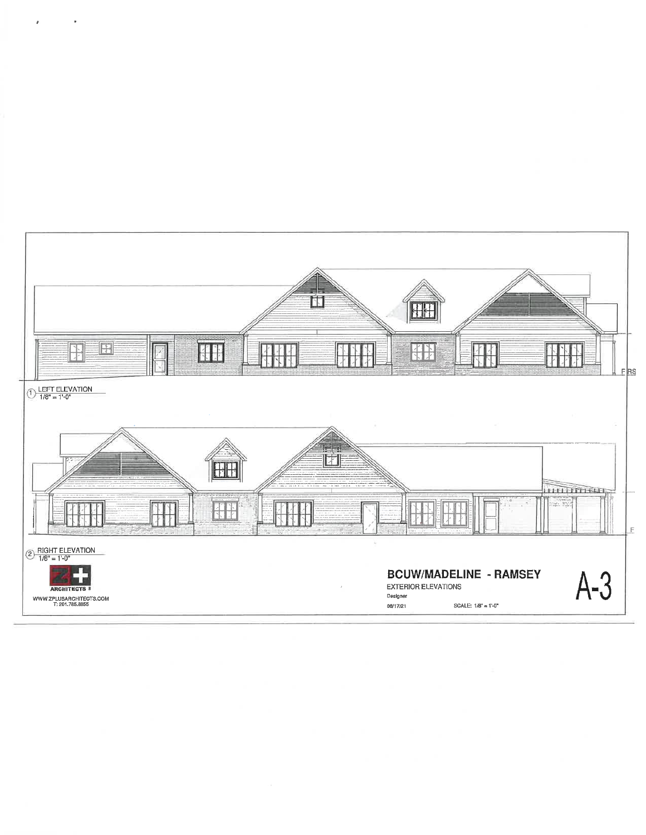

 $\hat{\pmb{r}}$ 

 $\bar{\mathbf{r}}$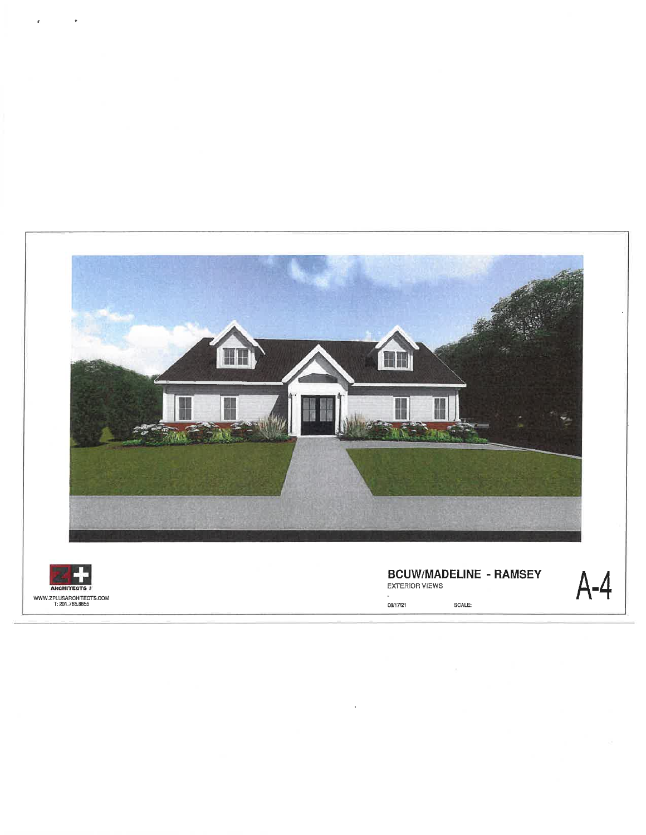

 $\bar{\nu}$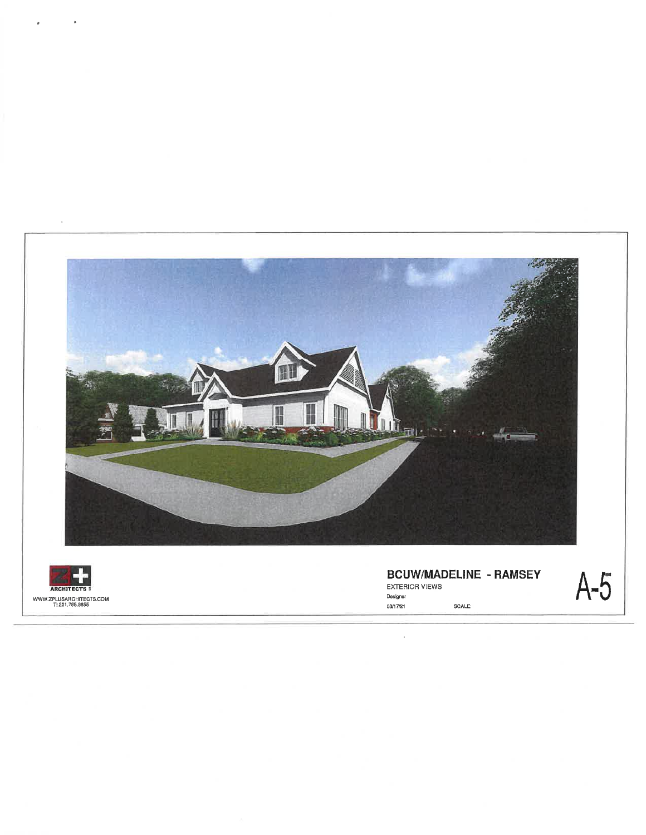



 $\ddot{\phantom{0}}$ 

**BCUW/MADELINE - RAMSEY** EXTERIOR VIEWS Designer 08/17/21 SCALE:

l,

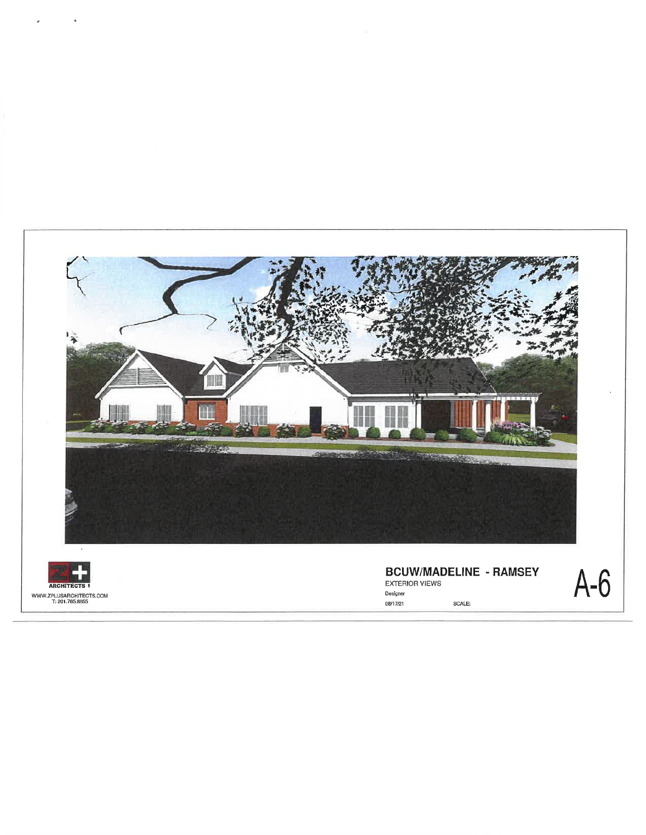

WWW.ZPLUSARCHITECTS.COM<br>T: 201.785.8855

08/17/21 SCALE: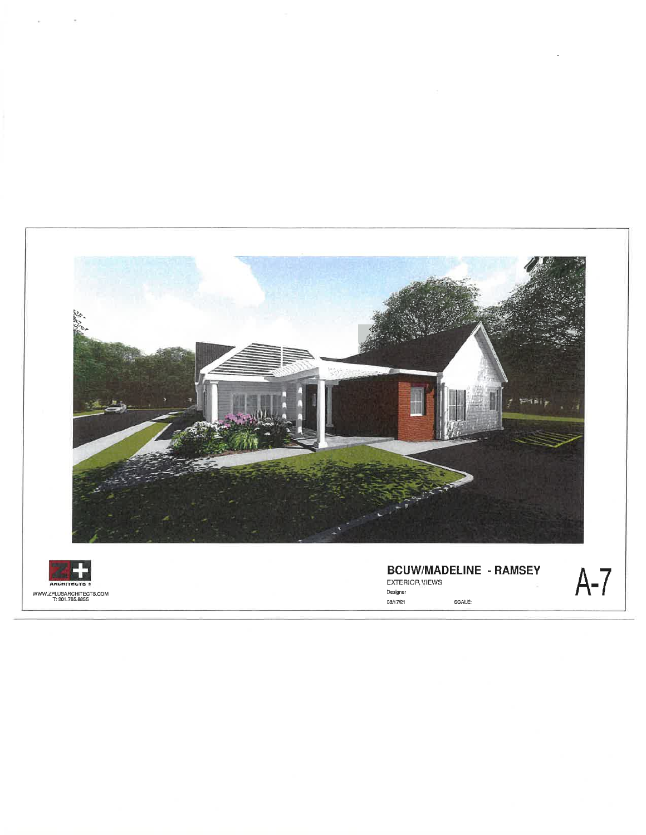



**BCUW/MADELINE - RAMSEY** Designer 08/17/21 SCALE: